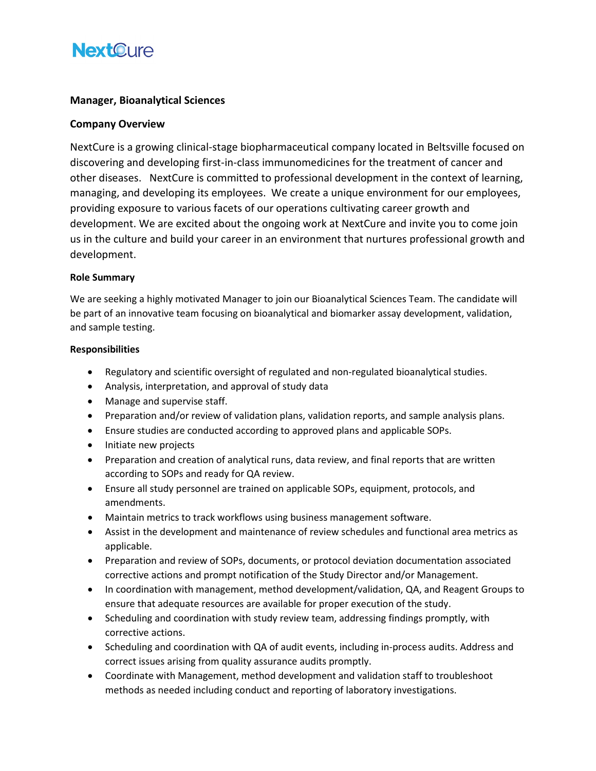## **NextOure**

## **Manager, Bioanalytical Sciences**

### **Company Overview**

NextCure is a growing clinical-stage biopharmaceutical company located in Beltsville focused on discovering and developing first-in-class immunomedicines for the treatment of cancer and other diseases. NextCure is committed to professional development in the context of learning, managing, and developing its employees. We create a unique environment for our employees, providing exposure to various facets of our operations cultivating career growth and development. We are excited about the ongoing work at NextCure and invite you to come join us in the culture and build your career in an environment that nurtures professional growth and development.

#### **Role Summary**

We are seeking a highly motivated Manager to join our Bioanalytical Sciences Team. The candidate will be part of an innovative team focusing on bioanalytical and biomarker assay development, validation, and sample testing.

#### **Responsibilities**

- Regulatory and scientific oversight of regulated and non-regulated bioanalytical studies.
- Analysis, interpretation, and approval of study data
- Manage and supervise staff.
- Preparation and/or review of validation plans, validation reports, and sample analysis plans.
- Ensure studies are conducted according to approved plans and applicable SOPs.
- Initiate new projects
- Preparation and creation of analytical runs, data review, and final reports that are written according to SOPs and ready for QA review.
- Ensure all study personnel are trained on applicable SOPs, equipment, protocols, and amendments.
- Maintain metrics to track workflows using business management software.
- Assist in the development and maintenance of review schedules and functional area metrics as applicable.
- Preparation and review of SOPs, documents, or protocol deviation documentation associated corrective actions and prompt notification of the Study Director and/or Management.
- In coordination with management, method development/validation, QA, and Reagent Groups to ensure that adequate resources are available for proper execution of the study.
- Scheduling and coordination with study review team, addressing findings promptly, with corrective actions.
- Scheduling and coordination with QA of audit events, including in-process audits. Address and correct issues arising from quality assurance audits promptly.
- Coordinate with Management, method development and validation staff to troubleshoot methods as needed including conduct and reporting of laboratory investigations.